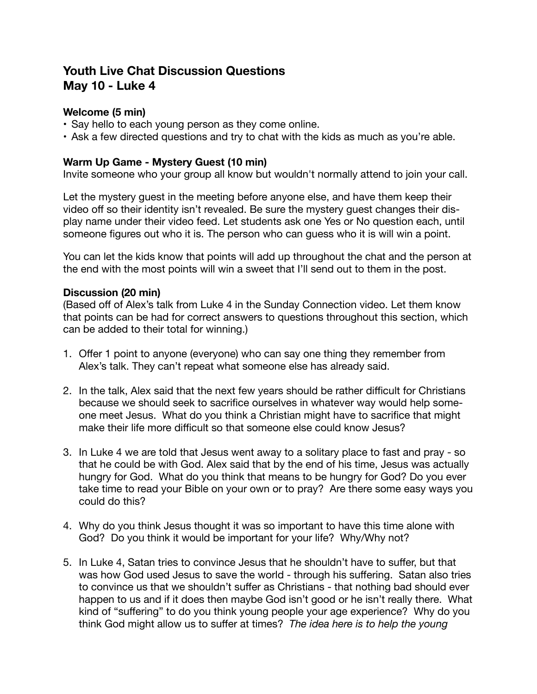# **Youth Live Chat Discussion Questions May 10 - Luke 4**

## **Welcome (5 min)**

- Say hello to each young person as they come online.
- Ask a few directed questions and try to chat with the kids as much as you're able.

### **Warm Up Game - Mystery Guest (10 min)**

Invite someone who your group all know but wouldn't normally attend to join your call.

Let the mystery guest in the meeting before anyone else, and have them keep their video off so their identity isn't revealed. Be sure the mystery guest changes their display name under their video feed. Let students ask one Yes or No question each, until someone figures out who it is. The person who can guess who it is will win a point.

You can let the kids know that points will add up throughout the chat and the person at the end with the most points will win a sweet that I'll send out to them in the post.

#### **Discussion (20 min)**

(Based off of Alex's talk from Luke 4 in the Sunday Connection video. Let them know that points can be had for correct answers to questions throughout this section, which can be added to their total for winning.)

- 1. Offer 1 point to anyone (everyone) who can say one thing they remember from Alex's talk. They can't repeat what someone else has already said.
- 2. In the talk, Alex said that the next few years should be rather difficult for Christians because we should seek to sacrifice ourselves in whatever way would help someone meet Jesus. What do you think a Christian might have to sacrifice that might make their life more difficult so that someone else could know Jesus?
- 3. In Luke 4 we are told that Jesus went away to a solitary place to fast and pray so that he could be with God. Alex said that by the end of his time, Jesus was actually hungry for God. What do you think that means to be hungry for God? Do you ever take time to read your Bible on your own or to pray? Are there some easy ways you could do this?
- 4. Why do you think Jesus thought it was so important to have this time alone with God? Do you think it would be important for your life? Why/Why not?
- 5. In Luke 4, Satan tries to convince Jesus that he shouldn't have to suffer, but that was how God used Jesus to save the world - through his suffering. Satan also tries to convince us that we shouldn't suffer as Christians - that nothing bad should ever happen to us and if it does then maybe God isn't good or he isn't really there. What kind of "suffering" to do you think young people your age experience? Why do you think God might allow us to suffer at times? *The idea here is to help the young*